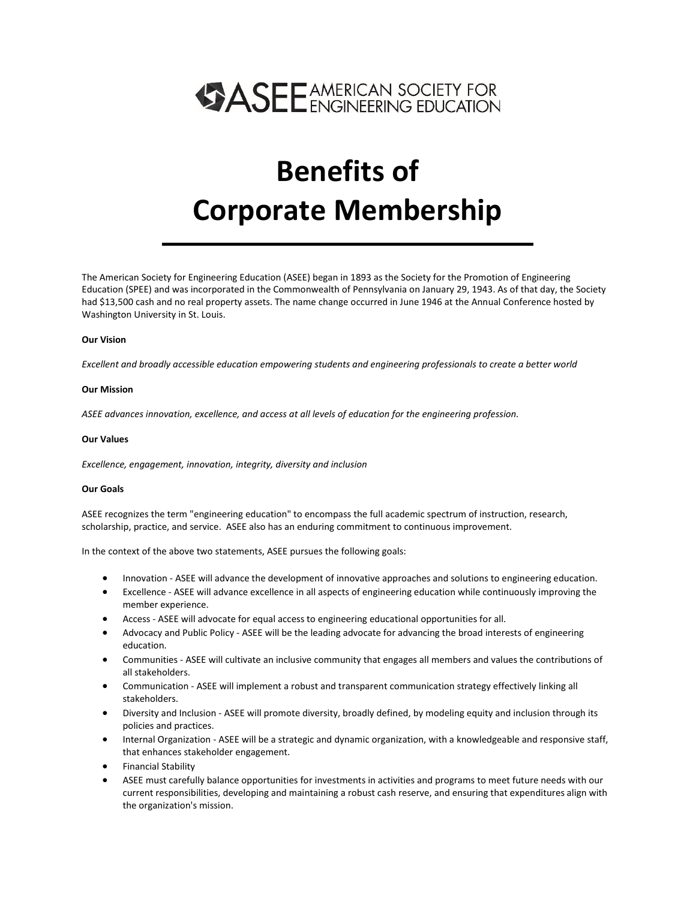

# **Benefits of Corporate Membership**

The American Society for Engineering Education (ASEE) began in 1893 as the Society for the Promotion of Engineering Education (SPEE) and was incorporated in the Commonwealth of Pennsylvania on January 29, 1943. As of that day, the Society had \$13,500 cash and no real property assets. The name change occurred in June 1946 at the Annual Conference hosted by Washington University in St. Louis.

#### **Our Vision**

*Excellent and broadly accessible education empowering students and engineering professionals to create a better world*

#### **Our Mission**

*ASEE advances innovation, excellence, and access at all levels of education for the engineering profession.*

#### **Our Values**

*Excellence, engagement, innovation, integrity, diversity and inclusion*

#### **Our Goals**

ASEE recognizes the term "engineering education" to encompass the full academic spectrum of instruction, research, scholarship, practice, and service. ASEE also has an enduring commitment to continuous improvement.

In the context of the above two statements, ASEE pursues the following goals:

- Innovation ASEE will advance the development of innovative approaches and solutions to engineering education.
- Excellence ASEE will advance excellence in all aspects of engineering education while continuously improving the member experience.
- Access ASEE will advocate for equal access to engineering educational opportunities for all.
- Advocacy and Public Policy ASEE will be the leading advocate for advancing the broad interests of engineering education.
- Communities ASEE will cultivate an inclusive community that engages all members and values the contributions of all stakeholders.
- Communication ASEE will implement a robust and transparent communication strategy effectively linking all stakeholders.
- Diversity and Inclusion ASEE will promote diversity, broadly defined, by modeling equity and inclusion through its policies and practices.
- Internal Organization ASEE will be a strategic and dynamic organization, with a knowledgeable and responsive staff, that enhances stakeholder engagement.
- Financial Stability
- ASEE must carefully balance opportunities for investments in activities and programs to meet future needs with our current responsibilities, developing and maintaining a robust cash reserve, and ensuring that expenditures align with the organization's mission.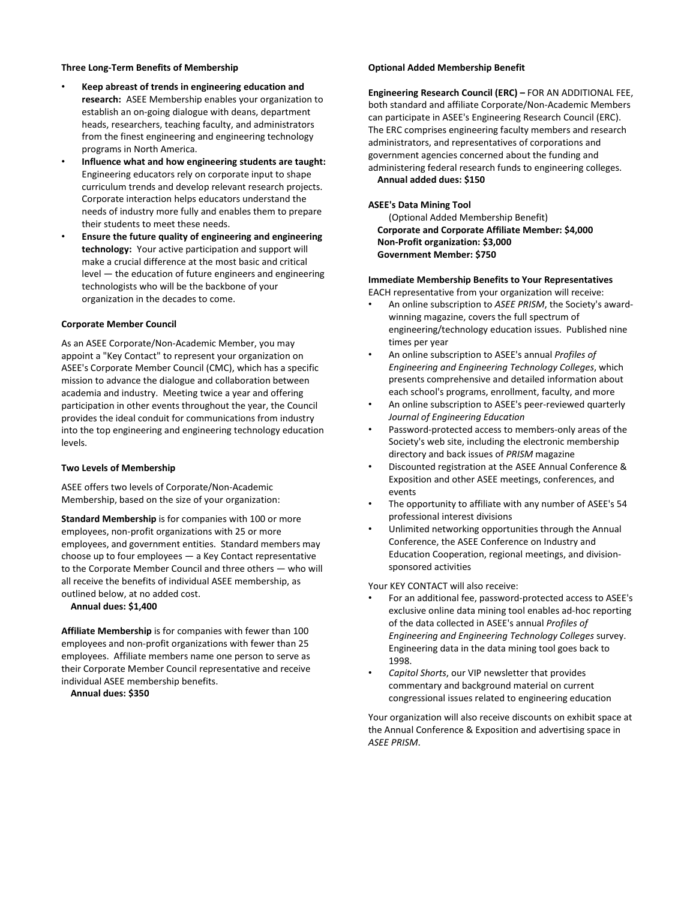#### **Three Long-Term Benefits of Membership**

- **Keep abreast of trends in engineering education and research:** ASEE Membership enables your organization to establish an on-going dialogue with deans, department heads, researchers, teaching faculty, and administrators from the finest engineering and engineering technology programs in North America.
- **Influence what and how engineering students are taught:** Engineering educators rely on corporate input to shape curriculum trends and develop relevant research projects. Corporate interaction helps educators understand the needs of industry more fully and enables them to prepare their students to meet these needs.
- **Ensure the future quality of engineering and engineering technology:** Your active participation and support will make a crucial difference at the most basic and critical level — the education of future engineers and engineering technologists who will be the backbone of your organization in the decades to come.

#### **Corporate Member Council**

As an ASEE Corporate/Non-Academic Member, you may appoint a "Key Contact" to represent your organization on ASEE's Corporate Member Council (CMC), which has a specific mission to advance the dialogue and collaboration between academia and industry. Meeting twice a year and offering participation in other events throughout the year, the Council provides the ideal conduit for communications from industry into the top engineering and engineering technology education levels.

#### **Two Levels of Membership**

ASEE offers two levels of Corporate/Non-Academic Membership, based on the size of your organization:

**Standard Membership** is for companies with 100 or more employees, non-profit organizations with 25 or more employees, and government entities. Standard members may choose up to four employees — a Key Contact representative to the Corporate Member Council and three others — who will all receive the benefits of individual ASEE membership, as outlined below, at no added cost.

**Annual dues: \$1,400**

**Affiliate Membership** is for companies with fewer than 100 employees and non-profit organizations with fewer than 25 employees. Affiliate members name one person to serve as their Corporate Member Council representative and receive individual ASEE membership benefits.

**Annual dues: \$350**

#### **Optional Added Membership Benefit**

**Engineering Research Council (ERC) –** FOR AN ADDITIONAL FEE, both standard and affiliate Corporate/Non-Academic Members can participate in ASEE's Engineering Research Council (ERC). The ERC comprises engineering faculty members and research administrators, and representatives of corporations and government agencies concerned about the funding and administering federal research funds to engineering colleges. **Annual added dues: \$150**

#### **ASEE's Data Mining Tool**

(Optional Added Membership Benefit) **Corporate and Corporate Affiliate Member: \$4,000 Non-Profit organization: \$3,000 Government Member: \$750**

#### **Immediate Membership Benefits to Your Representatives**

EACH representative from your organization will receive:

- An online subscription to *ASEE PRISM*, the Society's awardwinning magazine, covers the full spectrum of engineering/technology education issues. Published nine times per year
- An online subscription to ASEE's annual *Profiles of Engineering and Engineering Technology Colleges*, which presents comprehensive and detailed information about each school's programs, enrollment, faculty, and more
- An online subscription to ASEE's peer-reviewed quarterly *Journal of Engineering Education*
- Password-protected access to members-only areas of the Society's web site, including the electronic membership directory and back issues of *PRISM* magazine
- Discounted registration at the ASEE Annual Conference & Exposition and other ASEE meetings, conferences, and events
- The opportunity to affiliate with any number of ASEE's 54 professional interest divisions
- Unlimited networking opportunities through the Annual Conference, the ASEE Conference on Industry and Education Cooperation, regional meetings, and divisionsponsored activities

Your KEY CONTACT will also receive:

- For an additional fee, password-protected access to ASEE's exclusive online data mining tool enables ad-hoc reporting of the data collected in ASEE's annual *Profiles of Engineering and Engineering Technology Colleges* survey. Engineering data in the data mining tool goes back to 1998.
- *Capitol Shorts*, our VIP newsletter that provides commentary and background material on current congressional issues related to engineering education

Your organization will also receive discounts on exhibit space at the Annual Conference & Exposition and advertising space in *ASEE PRISM*.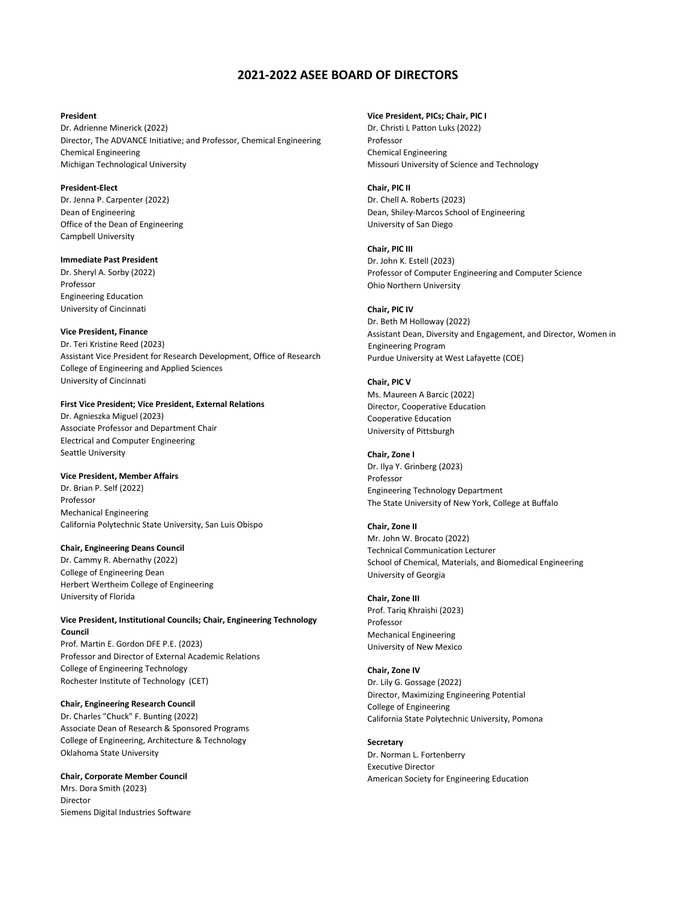### **2021-2022 ASEE BOARD OF DIRECTORS**

#### **President**

Dr. Adrienne Minerick (2022) Director, The ADVANCE Initiative; and Professor, Chemical Engineering Chemical Engineering Michigan Technological University

#### **President-Elect**

Dr. Jenna P. Carpenter (2022) Dean of Engineering Office of the Dean of Engineering Campbell University

#### **Immediate Past President**

Dr. Sheryl A. Sorby (2022) Professor Engineering Education University of Cincinnati

#### **Vice President, Finance**

Dr. Teri Kristine Reed (2023) Assistant Vice President for Research Development, Office of Research College of Engineering and Applied Sciences University of Cincinnati

#### **First Vice President; Vice President, External Relations**

Dr. Agnieszka Miguel (2023) Associate Professor and Department Chair Electrical and Computer Engineering Seattle University

#### **Vice President, Member Affairs**

Dr. Brian P. Self (2022) Professor Mechanical Engineering California Polytechnic State University, San Luis Obispo

#### **Chair, Engineering Deans Council**

Dr. Cammy R. Abernathy (2022) College of Engineering Dean Herbert Wertheim College of Engineering University of Florida

#### **Vice President, Institutional Councils; Chair, Engineering Technology Council**

Prof. Martin E. Gordon DFE P.E. (2023) Professor and Director of External Academic Relations College of Engineering Technology Rochester Institute of Technology (CET)

#### **Chair, Engineering Research Council**

Dr. Charles "Chuck" F. Bunting (2022) Associate Dean of Research & Sponsored Programs College of Engineering, Architecture & Technology Oklahoma State University

#### **Chair, Corporate Member Council**

Mrs. Dora Smith (2023) Director Siemens Digital Industries Software

#### **Vice President, PICs; Chair, PIC I**

Dr. Christi L Patton Luks (2022) Professor Chemical Engineering Missouri University of Science and Technology

#### **Chair, PIC II**

Dr. Chell A. Roberts (2023) Dean, Shiley-Marcos School of Engineering University of San Diego

#### **Chair, PIC III**

Dr. John K. Estell (2023) Professor of Computer Engineering and Computer Science Ohio Northern University

#### **Chair, PIC IV**

Dr. Beth M Holloway (2022) Assistant Dean, Diversity and Engagement, and Director, Women in Engineering Program Purdue University at West Lafayette (COE)

#### **Chair, PIC V**

Ms. Maureen A Barcic (2022) Director, Cooperative Education Cooperative Education University of Pittsburgh

#### **Chair, Zone I** Dr. Ilya Y. Grinberg (2023) Professor Engineering Technology Department The State University of New York, College at Buffalo

**Chair, Zone II** Mr. John W. Brocato (2022) Technical Communication Lecturer School of Chemical, Materials, and Biomedical Engineering University of Georgia

#### **Chair, Zone III**

Prof. Tariq Khraishi (2023) Professor Mechanical Engineering University of New Mexico

#### **Chair, Zone IV**

Dr. Lily G. Gossage (2022) Director, Maximizing Engineering Potential College of Engineering California State Polytechnic University, Pomona

#### **Secretary**

Dr. Norman L. Fortenberry Executive Director American Society for Engineering Education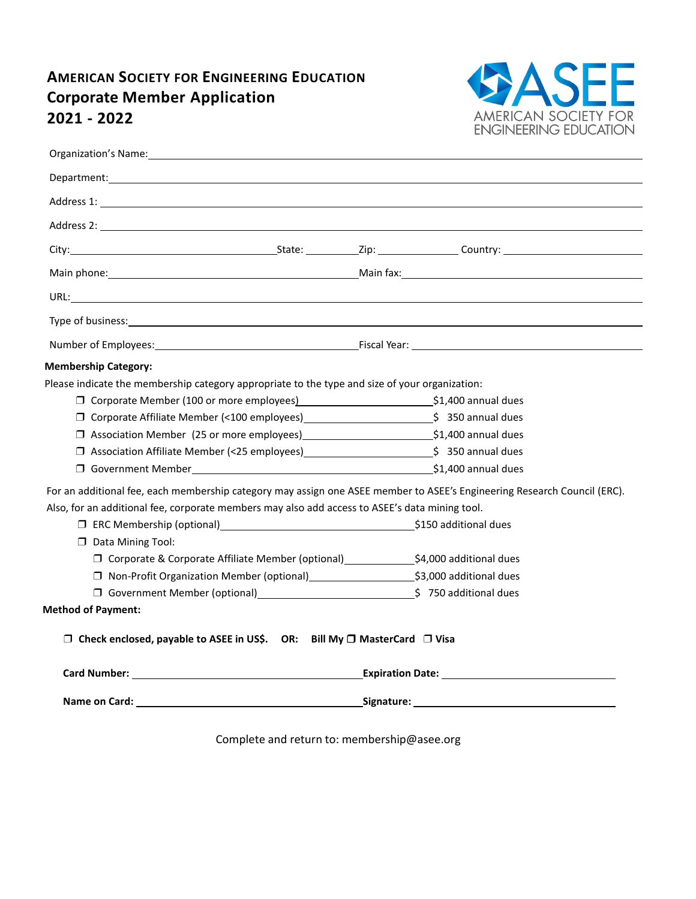## **AMERICAN SOCIETY FOR ENGINEERING EDUCATION Corporate Member Application <sup>2021</sup> - <sup>2022</sup>**



| Organization's Name: The Contract of the Contract of the Contract of the Contract of the Contract of the Contract of the Contract of the Contract of the Contract of the Contract of the Contract of the Contract of the Contr |  |  |  |  |  |
|--------------------------------------------------------------------------------------------------------------------------------------------------------------------------------------------------------------------------------|--|--|--|--|--|
|                                                                                                                                                                                                                                |  |  |  |  |  |
|                                                                                                                                                                                                                                |  |  |  |  |  |
|                                                                                                                                                                                                                                |  |  |  |  |  |
|                                                                                                                                                                                                                                |  |  |  |  |  |
| Main phone: National Communication of the Main fax: National Communication of the Main fax: National Communication of the Main fax: National Communication of the Main fax: National Communication of the Main fax: National C |  |  |  |  |  |
|                                                                                                                                                                                                                                |  |  |  |  |  |
| Type of business: the contract of the contract of the contract of the contract of the contract of the contract of the contract of the contract of the contract of the contract of the contract of the contract of the contract |  |  |  |  |  |
| Number of Employees: etc. and the contract of Employees: etc. All and the contract of Employees: etc. All and the contract of Employees: etc. All and the contract of Employees: etc. All and the contract of Employees: etc.  |  |  |  |  |  |
| <b>Membership Category:</b>                                                                                                                                                                                                    |  |  |  |  |  |
| Please indicate the membership category appropriate to the type and size of your organization:                                                                                                                                 |  |  |  |  |  |
| □ Corporate Member (100 or more employees)<br>□ Corporate Member (100 or more employees)<br>□ S1,400 annual dues                                                                                                               |  |  |  |  |  |
| □ Corporate Affiliate Member (<100 employees)<br>□ Corporate Affiliate Member (<100 employees)<br>□ S 350 annual dues                                                                                                          |  |  |  |  |  |
| □ Association Member (25 or more employees)<br>□ Association Member (25 or more employees)<br>□ S1,400 annual dues                                                                                                             |  |  |  |  |  |
| □ Association Affiliate Member (<25 employees)<br><br><u>□ Association Affiliate Member (&lt;25 employees)</u><br><br><u>■  </u> 350 annual dues                                                                               |  |  |  |  |  |
|                                                                                                                                                                                                                                |  |  |  |  |  |
| For an additional fee, each membership category may assign one ASEE member to ASEE's Engineering Research Council (ERC).                                                                                                       |  |  |  |  |  |
| Also, for an additional fee, corporate members may also add access to ASEE's data mining tool.                                                                                                                                 |  |  |  |  |  |
| □ ERC Membership (optional)<br>□ ERC Membership (optional)                                                                                                                                                                     |  |  |  |  |  |
| $\Box$ Data Mining Tool:                                                                                                                                                                                                       |  |  |  |  |  |
| □ Corporate & Corporate Affiliate Member (optional)<br><u>□ \$4,000</u> additional dues                                                                                                                                        |  |  |  |  |  |
| □ Non-Profit Organization Member (optional)<br><sub>□</sub> S3,000 additional dues                                                                                                                                             |  |  |  |  |  |
| □ Government Member (optional)<br>□ Government Member (optional)<br>□ S 750 additional dues                                                                                                                                    |  |  |  |  |  |
| <b>Method of Payment:</b>                                                                                                                                                                                                      |  |  |  |  |  |
| $\Box$ Check enclosed, payable to ASEE in US\$. OR: Bill My $\Box$ MasterCard $\Box$ Visa                                                                                                                                      |  |  |  |  |  |
|                                                                                                                                                                                                                                |  |  |  |  |  |
|                                                                                                                                                                                                                                |  |  |  |  |  |
|                                                                                                                                                                                                                                |  |  |  |  |  |

Complete and return to: membership@asee.org